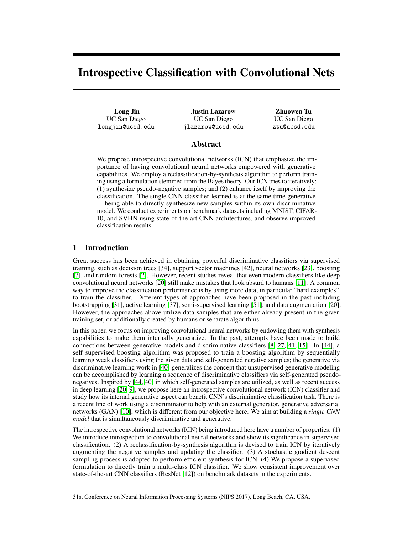# Introspective Classification with Convolutional Nets

Long Jin UC San Diego longjin@ucsd.edu

Justin Lazarow UC San Diego jlazarow@ucsd.edu

Zhuowen Tu UC San Diego ztu@ucsd.edu

# Abstract

We propose introspective convolutional networks (ICN) that emphasize the importance of having convolutional neural networks empowered with generative capabilities. We employ a reclassification-by-synthesis algorithm to perform training using a formulation stemmed from the Bayes theory. Our ICN tries to iteratively: (1) synthesize pseudo-negative samples; and (2) enhance itself by improving the classification. The single CNN classifier learned is at the same time generative — being able to directly synthesize new samples within its own discriminative model. We conduct experiments on benchmark datasets including MNIST, CIFAR-10, and SVHN using state-of-the-art CNN architectures, and observe improved classification results.

# 1 Introduction

Great success has been achieved in obtaining powerful discriminative classifiers via supervised training, such as decision trees [34], support vector machines [42], neural networks [23], boosting [7], and random forests [2]. However, recent studies reveal that even modern classifiers like deep convolutional neural networks [20] still make mistakes that look absurd to humans [11]. A common way to improve the classification performance is by using more data, in particular "hard examples", to train the classifier. Different types of approaches have been proposed in the past including bootstrapping [31], active learning [37], semi-supervised learning [51], and data augmentation [20]. However, the approaches above utilize data samples that are either already present in the given training set, or additionally created by humans or separate algorithms.

In this paper, we focus on improving convolutional neural networks by endowing them with synthesis capabilities to make them internally generative. In the past, attempts have been made to build connections between generative models and discriminative classifiers [8, 27, 41, 15]. In [44], a self supervised boosting algorithm was proposed to train a boosting algorithm by sequentially learning weak classifiers using the given data and self-generated negative samples; the generative via discriminative learning work in [40] generalizes the concept that unsupervised generative modeling can be accomplished by learning a sequence of discriminative classifiers via self-generated pseudonegatives. Inspired by [44, 40] in which self-generated samples are utilized, as well as recent success in deep learning [20, 9], we propose here an introspective convolutional network (ICN) classifier and study how its internal generative aspect can benefit CNN's discriminative classification task. There is a recent line of work using a discriminator to help with an external generator, generative adversarial networks (GAN) [10], which is different from our objective here. We aim at building a *single CNN model* that is simultaneously discriminative and generative.

The introspective convolutional networks (ICN) being introduced here have a number of properties. (1) We introduce introspection to convolutional neural networks and show its significance in supervised classification. (2) A reclassification-by-synthesis algorithm is devised to train ICN by iteratively augmenting the negative samples and updating the classifier. (3) A stochastic gradient descent sampling process is adopted to perform efficient synthesis for ICN. (4) We propose a supervised formulation to directly train a multi-class ICN classifier. We show consistent improvement over state-of-the-art CNN classifiers (ResNet [12]) on benchmark datasets in the experiments.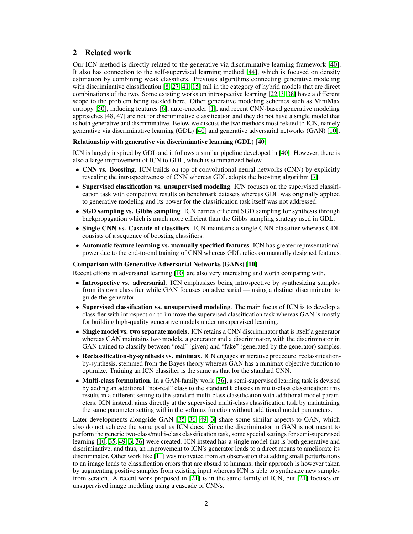# 2 Related work

Our ICN method is directly related to the generative via discriminative learning framework [40]. It also has connection to the self-supervised learning method [44], which is focused on density estimation by combining weak classifiers. Previous algorithms connecting generative modeling with discriminative classification [8, 27, 41, 15] fall in the category of hybrid models that are direct combinations of the two. Some existing works on introspective learning [22, 3, 38] have a different scope to the problem being tackled here. Other generative modeling schemes such as MiniMax entropy [50], inducing features [6], auto-encoder [1], and recent CNN-based generative modeling approaches [48, 47] are not for discriminative classification and they do not have a single model that is both generative and discriminative. Below we discuss the two methods most related to ICN, namely generative via discriminative learning (GDL) [40] and generative adversarial networks (GAN) [10].

#### Relationship with generative via discriminative learning (GDL) [40]

ICN is largely inspired by GDL and it follows a similar pipeline developed in [40]. However, there is also a large improvement of ICN to GDL, which is summarized below.

- CNN vs. Boosting. ICN builds on top of convolutional neural networks (CNN) by explicitly revealing the introspectiveness of CNN whereas GDL adopts the boosting algorithm [7].
- Supervised classification vs. unsupervised modeling. ICN focuses on the supervised classification task with competitive results on benchmark datasets whereas GDL was originally applied to generative modeling and its power for the classification task itself was not addressed.
- SGD sampling vs. Gibbs sampling. ICN carries efficient SGD sampling for synthesis through backpropagation which is much more efficient than the Gibbs sampling strategy used in GDL.
- Single CNN vs. Cascade of classifiers. ICN maintains a single CNN classifier whereas GDL consists of a sequence of boosting classifiers.
- Automatic feature learning vs. manually specified features. ICN has greater representational power due to the end-to-end training of CNN whereas GDL relies on manually designed features.

#### Comparison with Generative Adversarial Networks (GANs) [10]

Recent efforts in adversarial learning [10] are also very interesting and worth comparing with.

- Introspective vs. adversarial. ICN emphasizes being introspective by synthesizing samples from its own classifier while GAN focuses on adversarial — using a distinct discriminator to guide the generator.
- Supervised classification vs. unsupervised modeling. The main focus of ICN is to develop a classifier with introspection to improve the supervised classification task whereas GAN is mostly for building high-quality generative models under unsupervised learning.
- Single model vs. two separate models. ICN retains a CNN discriminator that is itself a generator whereas GAN maintains two models, a generator and a discriminator, with the discriminator in GAN trained to classify between "real" (given) and "fake" (generated by the generator) samples.
- Reclassification-by-synthesis vs. minimax. ICN engages an iterative procedure, reclassificationby-synthesis, stemmed from the Bayes theory whereas GAN has a minimax objective function to optimize. Training an ICN classifier is the same as that for the standard CNN.
- Multi-class formulation. In a GAN-family work [36], a semi-supervised learning task is devised by adding an additional "not-real" class to the standard k classes in multi-class classification; this results in a different setting to the standard multi-class classification with additional model parameters. ICN instead, aims directly at the supervised multi-class classification task by maintaining the same parameter setting within the softmax function without additional model parameters.

Later developments alongside GAN [35, 36, 49, 3] share some similar aspects to GAN, which also do not achieve the same goal as ICN does. Since the discriminator in GAN is not meant to perform the generic two-class/multi-class classification task, some special settings for semi-supervised learning [10, 35, 49, 3, 36] were created. ICN instead has a single model that is both generative and discriminative, and thus, an improvement to ICN's generator leads to a direct means to ameliorate its discriminator. Other work like [11] was motivated from an observation that adding small perturbations to an image leads to classification errors that are absurd to humans; their approach is however taken by augmenting positive samples from existing input whereas ICN is able to synthesize new samples from scratch. A recent work proposed in [21] is in the same family of ICN, but [21] focuses on unsupervised image modeling using a cascade of CNNs.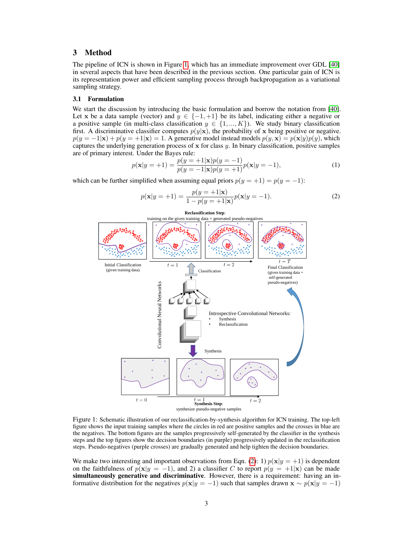## 3 Method

The pipeline of ICN is shown in Figure 1, which has an immediate improvement over GDL [40] in several aspects that have been described in the previous section. One particular gain of ICN is its representation power and efficient sampling process through backpropagation as a variational sampling strategy.

#### 3.1 Formulation

We start the discussion by introducing the basic formulation and borrow the notation from [40]. Let x be a data sample (vector) and  $y \in \{-1, +1\}$  be its label, indicating either a negative or a positive sample (in multi-class classification  $y \in \{1, ..., K\}$ ). We study binary classification first. A discriminative classifier computes  $p(y|\mathbf{x})$ , the probability of x being positive or negative.  $p(y = -1|\mathbf{x}) + p(y = +1|\mathbf{x}) = 1$ . A generative model instead models  $p(y, \mathbf{x}) = p(\mathbf{x}|y)p(y)$ , which captures the underlying generation process of  $x$  for class  $y$ . In binary classification, positive samples are of primary interest. Under the Bayes rule:

$$
p(\mathbf{x}|y = +1) = \frac{p(y = +1|\mathbf{x})p(y = -1)}{p(y = -1|\mathbf{x})p(y = +1)}p(\mathbf{x}|y = -1),
$$
\n(1)

which can be further simplified when assuming equal priors  $p(y = +1) = p(y = -1)$ :

$$
p(\mathbf{x}|y = +1) = \frac{p(y = +1|\mathbf{x})}{1 - p(y = +1|\mathbf{x})} p(\mathbf{x}|y = -1).
$$
 (2)



Figure 1: Schematic illustration of our reclassification-by-synthesis algorithm for ICN training. The top-left figure shows the input training samples where the circles in red are positive samples and the crosses in blue are the negatives. The bottom figures are the samples progressively self-generated by the classifier in the synthesis steps and the top figures show the decision boundaries (in purple) progressively updated in the reclassification steps. Pseudo-negatives (purple crosses) are gradually generated and help tighten the decision boundaries.

We make two interesting and important observations from Eqn. (2): 1)  $p(x|y = +1)$  is dependent on the faithfulness of  $p(x|y = -1)$ , and 2) a classifier C to report  $p(y = +1|x)$  can be made simultaneously generative and discriminative. However, there is a requirement: having an informative distribution for the negatives  $p(x|y = -1)$  such that samples drawn  $x \sim p(x|y = -1)$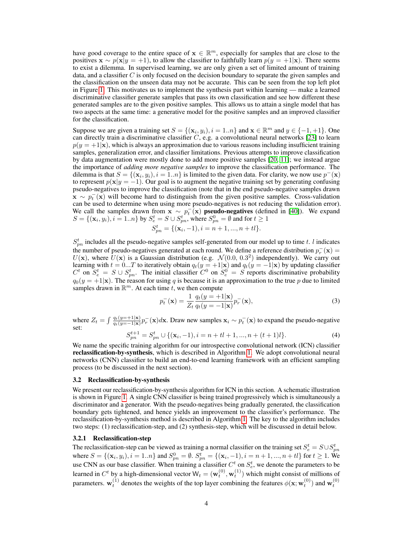have good coverage to the entire space of  $\mathbf{x} \in \mathbb{R}^m$ , especially for samples that are close to the positives  $\mathbf{x} \sim p(\mathbf{x}|y = +1)$ , to allow the classifier to faithfully learn  $p(y = +1|\mathbf{x})$ . There seems to exist a dilemma. In supervised learning, we are only given a set of limited amount of training data, and a classifier  $C$  is only focused on the decision boundary to separate the given samples and the classification on the unseen data may not be accurate. This can be seen from the top left plot in Figure 1. This motivates us to implement the synthesis part within learning — make a learned discriminative classifier generate samples that pass its own classification and see how different these generated samples are to the given positive samples. This allows us to attain a single model that has two aspects at the same time: a generative model for the positive samples and an improved classifier for the classification.

Suppose we are given a training set  $S = \{(\mathbf{x}_i, y_i), i = 1..n\}$  and  $\mathbf{x} \in \mathbb{R}^m$  and  $y \in \{-1, +1\}$ . One can directly train a discriminative classifier  $C$ , e.g. a convolutional neural networks [23] to learn  $p(y = +1|\mathbf{x})$ , which is always an approximation due to various reasons including insufficient training samples, generalization error, and classifier limitations. Previous attempts to improve classification by data augmentation were mostly done to add more positive samples [20, 11]; we instead argue the importance of *adding more negative samples* to improve the classification performance. The dilemma is that  $S = \{(\mathbf{x}_i, y_i), i = 1..n\}$  is limited to the given data. For clarity, we now use  $p^{-}(\mathbf{x})$ to represent  $p(x|y = -1)$ . Our goal is to augment the negative training set by generating confusing pseudo-negatives to improve the classification (note that in the end pseudo-negative samples drawn  $\mathbf{x} \sim p_t^-({\mathbf{x}})$  will become hard to distinguish from the given positive samples. Cross-validation can be used to determine when using more pseudo-negatives is not reducing the validation error). We call the samples drawn from  $\mathbf{x} \sim p_t^{-1}(\mathbf{x})$  pseudo-negatives (defined in [40]). We expand  $S = \{(\mathbf{x}_i, y_i), i = 1..n\}$  by  $S_e^t = S \cup S_{pn}^t$ , where  $S_{pn}^0 = \emptyset$  and for  $t \ge 1$ 

$$
S_{pn}^t = \{ (\mathbf{x}_i, -1), i = n+1, ..., n+tl \}.
$$

 $S_{pn}^t$  includes all the pseudo-negative samples self-generated from our model up to time t. l indicates the number of pseudo-negatives generated at each round. We define a reference distribution  $p_r^-({\bf x}) =$  $U(\mathbf{x})$ , where  $U(\mathbf{x})$  is a Gaussian distribution (e.g.  $\mathcal{N}(0.0, 0.3^2)$  independently). We carry out learning with  $t = 0...T$  to iteratively obtain  $q_t(y = +1|\mathbf{x})$  and  $q_t(y = -1|\mathbf{x})$  by updating classifier  $C^t$  on  $S_e^t = S \cup S_{pn}^t$ . The initial classifier  $C^0$  on  $S_e^0 = S$  reports discriminative probability  $q_0(y = +1|\mathbf{x})$ . The reason for using q is because it is an approximation to the true p due to limited samples drawn in  $\mathbb{R}^m$ . At each time t, we then compute

$$
p_t^-(\mathbf{x}) = \frac{1}{Z_t} \frac{q_t(y=+1|\mathbf{x})}{q_t(y=-1|\mathbf{x})} p_r^-(\mathbf{x}),\tag{3}
$$

where  $Z_t = \int \frac{q_t(y=+1|\mathbf{x})}{q_t(y=-1|\mathbf{x})} p_r^-(\mathbf{x}) d\mathbf{x}$ . Draw new samples  $\mathbf{x}_i \sim p_t^-(\mathbf{x})$  to expand the pseudo-negative set:

$$
S_{pn}^{t+1} = S_{pn}^t \cup \{ (\mathbf{x}_i, -1), i = n + tl + 1, ..., n + (t+1)l \}.
$$
 (4)

We name the specific training algorithm for our introspective convolutional network (ICN) classifier reclassification-by-synthesis, which is described in Algorithm 1. We adopt convolutional neural networks (CNN) classifier to build an end-to-end learning framework with an efficient sampling process (to be discussed in the next section).

#### 3.2 Reclassification-by-synthesis

We present our reclassification-by-synthesis algorithm for ICN in this section. A schematic illustration is shown in Figure 1. A single CNN classifier is being trained progressively which is simultaneously a discriminator and a generator. With the pseudo-negatives being gradually generated, the classification boundary gets tightened, and hence yields an improvement to the classifier's performance. The reclassification-by-synthesis method is described in Algorithm 1. The key to the algorithm includes two steps: (1) reclassification-step, and (2) synthesis-step, which will be discussed in detail below.

#### 3.2.1 Reclassification-step

The reclassification-step can be viewed as training a normal classifier on the training set  $S_e^t = S \cup S_{pn}^t$ where  $S = \{(\mathbf{x}_i, y_i), i = 1..n\}$  and  $S_{pn}^0 = \emptyset$ .  $S_{pn}^t = \{(\mathbf{x}_i, -1), i = n+1, ..., n+t\}$  for  $t \ge 1$ . We use CNN as our base classifier. When training a classifier  $C<sup>t</sup>$  on  $S<sup>t</sup><sub>e</sub>$ , we denote the parameters to be learned in  $C^t$  by a high-dimensional vector  $\mathsf{W}_t = (\mathbf{w}_t^{(0)}, \mathbf{w}_t^{(1)})$  which might consist of millions of parameters.  $w_t^{(1)}$  denotes the weights of the top layer combining the features  $\phi(x; w_t^{(0)})$  and  $w_t^{(0)}$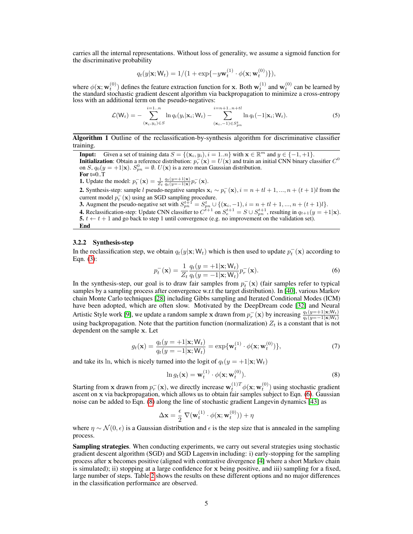carries all the internal representations. Without loss of generality, we assume a sigmoid function for the discriminative probability

$$
q_t(y|\mathbf{x}; \mathsf{W}_t) = 1/(1 + \exp\{-y\mathbf{w}_t^{(1)} \cdot \phi(\mathbf{x}; \mathbf{w}_t^{(0)})\}),
$$

where  $\phi(\mathbf{x}; \mathbf{w}_t^{(0)})$  defines the feature extraction function for **x**. Both  $\mathbf{w}_t^{(1)}$  and  $\mathbf{w}_t^{(0)}$  can be learned by the standard stochastic gradient descent algorithm via backpropagation to minimize a cross-entropy loss with an additional term on the pseudo-negatives:

$$
\mathcal{L}(\mathsf{W}_{t}) = -\sum_{(\mathbf{x}_{i}, y_{i}) \in S}^{i=1..n} \ln q_{t}(y_{i}|\mathbf{x}_{i}; \mathsf{W}_{t}) - \sum_{(\mathbf{x}_{i}, -1) \in S_{pn}^{t}}^{i=n+1..n+tl} \ln q_{t}(-1|\mathbf{x}_{i}; \mathsf{W}_{t}).
$$
\n(5)

Algorithm 1 Outline of the reclassification-by-synthesis algorithm for discriminative classifier training.

**Input:** Given a set of training data  $S = \{(\mathbf{x}_i, y_i), i = 1..n\}$  with  $\mathbf{x} \in \mathbb{R}^m$  and  $y \in \{-1, +1\}$ . **Initialization**: Obtain a reference distribution:  $p_r^-(\mathbf{x}) = U(\mathbf{x})$  and train an initial CNN binary classifier  $C^0$ on S,  $q_0(y=+1|\mathbf{x})$ .  $S_{pn}^0 = \emptyset$ .  $U(\mathbf{x})$  is a zero mean Gaussian distribution. For  $t=0..T$ 

**1.** Update the model:  $p_t^-(\mathbf{x}) = \frac{1}{Z_t} \frac{q_t(y=+1|\mathbf{x})}{q_t(y=-1|\mathbf{x})} p_r^-(\mathbf{x})$ .

2. Synthesis-step: sample l pseudo-negative samples  $x_i \sim p_t^-(x)$ ,  $i = n + tl + 1, ..., n + (t + 1)$ l from the current model  $p_t^-({\bf x})$  using an SGD sampling procedure.

**3.** Augment the pseudo-negative set with  $S_{pn}^{t+1} = S_{pn}^t \cup \{(\mathbf{x}_i, -1), i = n + tl + 1, ..., n + (t + 1)l\}.$ 

**4.** Reclassification-step: Update CNN classifier to  $C^{t+1}$  on  $S_e^{t+1} = S \cup S_{pn}^{t+1}$ , resulting in  $q_{t+1}(y = +1|\mathbf{x})$ . 5.  $t \leftarrow t + 1$  and go back to step 1 until convergence (e.g. no improvement on the validation set).

End

#### 3.2.2 Synthesis-step

In the reclassification step, we obtain  $q_t(y|\mathbf{x}; \mathsf{W}_t)$  which is then used to update  $p_t^-({\mathbf{x}})$  according to Eqn. (3):

$$
p_t^-(\mathbf{x}) = \frac{1}{Z_t} \frac{q_t(y = +1|\mathbf{x}; \mathsf{W}_t)}{q_t(y = -1|\mathbf{x}; \mathsf{W}_t)} p_r^-(\mathbf{x}).\tag{6}
$$

In the synthesis-step, our goal is to draw fair samples from  $p_t^-(\mathbf{x})$  (fair samples refer to typical samples by a sampling process after convergence w.r.t the target distribution). In [40], various Markov chain Monte Carlo techniques [28] including Gibbs sampling and Iterated Conditional Modes (ICM) have been adopted, which are often slow. Motivated by the DeepDream code [32] and Neural Artistic Style work [9], we update a random sample x drawn from  $p_r^-(x)$  by increasing  $\frac{q_t(y=+1|x;W_t)}{q_t(y=-1|x;W_t)}$ using backpropagation. Note that the partition function (normalization)  $Z_t$  is a constant that is not dependent on the sample x. Let

$$
g_t(\mathbf{x}) = \frac{q_t(y = +1|\mathbf{x}; \mathsf{W}_t)}{q_t(y = -1|\mathbf{x}; \mathsf{W}_t)} = \exp{\{\mathbf{w}_t^{(1)} \cdot \phi(\mathbf{x}; \mathbf{w}_t^{(0)})\}},\tag{7}
$$

and take its ln, which is nicely turned into the logit of  $q_t(y = +1|\mathbf{x}; W_t)$ 

$$
\ln g_t(\mathbf{x}) = \mathbf{w}_t^{(1)} \cdot \phi(\mathbf{x}; \mathbf{w}_t^{(0)}).
$$
 (8)

Starting from x drawn from  $p_r^-(x)$ , we directly increase  $w_t^{(1)T} \phi(x; w_t^{(0)})$  using stochastic gradient ascent on x via backpropagation, which allows us to obtain fair samples subject to Eqn. (6). Gaussian noise can be added to Eqn. (8) along the line of stochastic gradient Langevin dynamics [43] as

$$
\Delta \mathbf{x} = \frac{\epsilon}{2} \nabla(\mathbf{w}_t^{(1)} \cdot \phi(\mathbf{x}; \mathbf{w}_t^{(0)})) + \eta
$$

where  $\eta \sim \mathcal{N}(0, \epsilon)$  is a Gaussian distribution and  $\epsilon$  is the step size that is annealed in the sampling process.

**Sampling strategies.** When conducting experiments, we carry out several strategies using stochastic gradient descent algorithm (SGD) and SGD Lagenvin including: i) early-stopping for the sampling process after x becomes positive (aligned with contrastive divergence [4] where a short Markov chain is simulated); ii) stopping at a large confidence for x being positive, and iii) sampling for a fixed, large number of steps. Table 2 shows the results on these different options and no major differences in the classification performance are observed.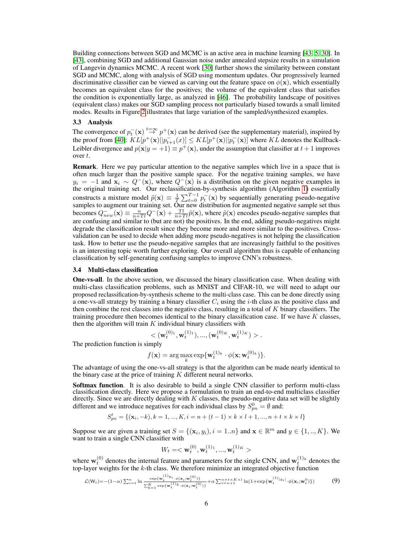Building connections between SGD and MCMC is an active area in machine learning [43, 5, 30]. In [43], combining SGD and additional Gaussian noise under annealed stepsize results in a simulation of Langevin dynamics MCMC. A recent work [30] further shows the similarity between constant SGD and MCMC, along with analysis of SGD using momentum updates. Our progressively learned discriminative classifier can be viewed as carving out the feature space on  $\phi(\mathbf{x})$ , which essentially becomes an equivalent class for the positives; the volume of the equivalent class that satisfies the condition is exponentially large, as analyzed in [46]. The probability landscape of positives (equivalent class) makes our SGD sampling process not particularly biased towards a small limited modes. Results in Figure 2 illustrates that large variation of the sampled/synthesized examples.

### 3.3 Analysis

The convergence of  $p_t^-(\mathbf{x}) \stackrel{t=\infty}{\rightarrow} p^+(\mathbf{x})$  can be derived (see the supplementary material), inspired by the proof from [40]:  $KL[p^+(\mathbf{x})||p^-_{t+1}(x)] \leq KL[p^+(\mathbf{x})||p^-_{t}(\mathbf{x})]$  where  $KL$  denotes the Kullback-Leibler divergence and  $p(\mathbf{x}|y = +1) \equiv p^{+}(\mathbf{x})$ , under the assumption that classifier at  $t + 1$  improves over t.

Remark. Here we pay particular attention to the negative samples which live in a space that is often much larger than the positive sample space. For the negative training samples, we have  $y_i = -1$  and  $\mathbf{x}_i \sim Q^-(\mathbf{x})$ , where  $Q^-(\mathbf{x})$  is a distribution on the given negative examples in the original training set. Our reclassification-by-synthesis algorithm (Algorithm 1) essentially constructs a mixture model  $\tilde{p}(\mathbf{x}) \equiv \frac{1}{T} \sum_{t=0}^{T-1} p_t^{-}(\mathbf{x})$  by sequentially generating pseudo-negative samples to augment our training set. Our new distribution for augmented negative sample set thus becomes  $Q_{new}^-({\bf x}) \equiv \frac{n}{n+Tl} Q^-({\bf x}) + \frac{Tl}{n+Tl} \tilde{p}({\bf x})$ , where  $\tilde{p}({\bf x})$  encodes pseudo-negative samples that are confusing and similar to (but are not) the positives. In the end, adding pseudo-negatives might degrade the classification result since they become more and more similar to the positives. Crossvalidation can be used to decide when adding more pseudo-negatives is not helping the classification task. How to better use the pseudo-negative samples that are increasingly faithful to the positives is an interesting topic worth further exploring. Our overall algorithm thus is capable of enhancing classification by self-generating confusing samples to improve CNN's robustness.

#### 3.4 Multi-class classification

One-vs-all. In the above section, we discussed the binary classification case. When dealing with multi-class classification problems, such as MNIST and CIFAR-10, we will need to adapt our proposed reclassification-by-synthesis scheme to the multi-class case. This can be done directly using a one-vs-all strategy by training a binary classifier  $C_i$  using the *i*-th class as the positive class and then combine the rest classes into the negative class, resulting in a total of  $K$  binary classifiers. The training procedure then becomes identical to the binary classification case. If we have  $K$  classes, then the algorithm will train  $K$  individual binary classifiers with

$$
\langle \mathbf{w}_t^{(0)} \mathbf{w}_t^{(1)} \mathbf{w}_t^{(1)} \mathbf{w}_t^{(0)}, \mathbf{w}_t^{(0)\kappa}, \mathbf{w}_t^{(1)\kappa} \rangle \rangle.
$$

The prediction function is simply

$$
f(\mathbf{x}) = \arg\max_{k} \exp{\{\mathbf{w}_t^{(1)_k} \cdot \phi(\mathbf{x}; \mathbf{w}_t^{(0)_k})\}}.
$$

The advantage of using the one-vs-all strategy is that the algorithm can be made nearly identical to the binary case at the price of training  $K$  different neural networks.

Softmax function. It is also desirable to build a single CNN classifier to perform multi-class classification directly. Here we propose a formulation to train an end-to-end multiclass classifier directly. Since we are directly dealing with  $K$  classes, the pseudo-negative data set will be slightly different and we introduce negatives for each individual class by  $S_{pn}^0 = \emptyset$  and:

$$
S_{pn}^{t} = \{ (\mathbf{x}_i, -k), k = 1, ..., K, i = n + (t - 1) \times k \times l + 1, ..., n + t \times k \times l \}
$$

Suppose we are given a training set  $S = \{(\mathbf{x}_i, y_i), i = 1..n\}$  and  $\mathbf{x} \in \mathbb{R}^m$  and  $y \in \{1,..,K\}$ . We want to train a single CNN classifier with

$$
W_t=<\mathbf{w}_t^{(0)},\mathbf{w}_t^{(1)_1},...,\mathbf{w}_t^{(1)_K}>
$$

where  $w_t^{(0)}$  denotes the internal feature and parameters for the single CNN, and  $w_t^{(1)_k}$  denotes the top-layer weights for the  $k$ -th class. We therefore minimize an integrated objective function

$$
\mathcal{L}(\mathbf{W}_{t}) = -(1-\alpha) \sum_{i=1}^{n} \ln \frac{\exp\{\mathbf{w}_{t}^{(1)}y_{i} \cdot \phi(\mathbf{x}_{i};\mathbf{w}_{t}^{(0)})\}}{\sum_{k=1}^{K} \exp\{\mathbf{w}_{t}^{(1)}k \cdot \phi(\mathbf{x}_{i};\mathbf{w}_{t}^{(0)})\}} + \alpha \sum_{i=n+1}^{n+t \times K \times l} \ln(1 + \exp\{\mathbf{w}_{t}^{(1)}|y_{i}| \cdot \phi(\mathbf{x}_{i};\mathbf{w}_{t}^{0})\})
$$
(9)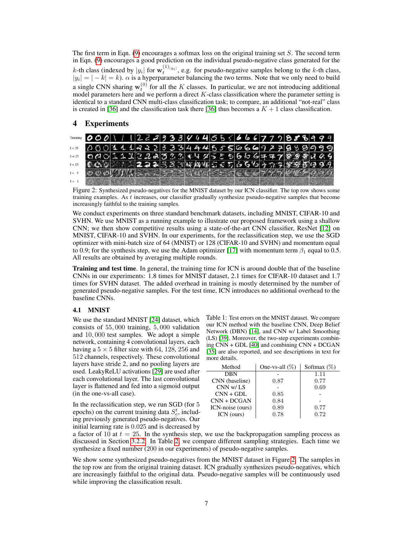The first term in Eqn. (9) encourages a softmax loss on the original training set  $S$ . The second term in Eqn. (9) encourages a good prediction on the individual pseudo-negative class generated for the k-th class (indexed by  $|y_i|$  for  $\mathbf{w}_t^{(1)}|y_i|$ , e.g. for pseudo-negative samples belong to the k-th class,  $|y_i| = |-k| = k$ ).  $\alpha$  is a hyperparameter balancing the two terms. Note that we only need to build a single CNN sharing  $w_t^{(0)}$  for all the K classes. In particular, we are not introducing additional model parameters here and we perform a direct  $K$ -class classification where the parameter setting is identical to a standard CNN multi-class classification task; to compare, an additional "not-real" class is created in [36] and the classification task there [36] thus becomes a  $K + 1$  class classification.

# 4 Experiments



Figure 2: Synthesized pseudo-negatives for the MNIST dataset by our ICN classifier. The top row shows some training examples. As t increases, our classifier gradually synthesize pseudo-negative samples that become increasingly faithful to the training samples.

We conduct experiments on three standard benchmark datasets, including MNIST, CIFAR-10 and SVHN. We use MNIST as a running example to illustrate our proposed framework using a shallow CNN; we then show competitive results using a state-of-the-art CNN classifier, ResNet [12] on MNIST, CIFAR-10 and SVHN. In our experiments, for the reclassification step, we use the SGD optimizer with mini-batch size of 64 (MNIST) or 128 (CIFAR-10 and SVHN) and momentum equal to 0.9; for the synthesis step, we use the Adam optimizer [17] with momentum term  $\beta_1$  equal to 0.5. All results are obtained by averaging multiple rounds.

Training and test time. In general, the training time for ICN is around double that of the baseline CNNs in our experiments: 1.8 times for MNIST dataset, 2.1 times for CIFAR-10 dataset and 1.7 times for SVHN dataset. The added overhead in training is mostly determined by the number of generated pseudo-negative samples. For the test time, ICN introduces no additional overhead to the baseline CNNs.

#### 4.1 MNIST

We use the standard MNIST [24] dataset, which consists of 55, 000 training, 5, 000 validation and 10, 000 test samples. We adopt a simple network, containing 4 convolutional layers, each having a  $5 \times 5$  filter size with 64, 128, 256 and 512 channels, respectively. These convolutional layers have stride 2, and no pooling layers are used. LeakyReLU activations [29] are used after each convolutional layer. The last convolutional layer is flattened and fed into a sigmoid output (in the one-vs-all case).

In the reclassification step, we run SGD (for 5 epochs) on the current training data  $S_e^t$ , including previously generated pseudo-negatives. Our initial learning rate is 0.025 and is decreased by Table 1: Test errors on the MNIST dataset. We compare our ICN method with the baseline CNN, Deep Belief Network (DBN) [14], and CNN w/ Label Smoothing (LS) [39]. Moreover, the two-step experiments combining CNN + GDL [40] and combining CNN + DCGAN [35] are also reported, and see descriptions in text for more details.

| Method           | One-vs-all $(\%)$ | Softmax $(\%)$ |
|------------------|-------------------|----------------|
| DBN              |                   | 1.11           |
| CNN (baseline)   | 0.87              | 0.77           |
| CNN w/LS         |                   | 0.69           |
| $CNN + GDL$      | 0.85              |                |
| $CNN + DCGAN$    | 0.84              |                |
| ICN-noise (ours) | 0.89              | 0.77           |
| ICN (ours)       | 0.78              | 0.72           |

a factor of 10 at  $t = 25$ . In the synthesis step, we use the backpropagation sampling process as discussed in Section 3.2.2. In Table 2, we compare different sampling strategies. Each time we synthesize a fixed number (200 in our experiments) of pseudo-negative samples.

We show some synthesized pseudo-negatives from the MNIST dataset in Figure 2. The samples in the top row are from the original training dataset. ICN gradually synthesizes pseudo-negatives, which are increasingly faithful to the original data. Pseudo-negative samples will be continuously used while improving the classification result.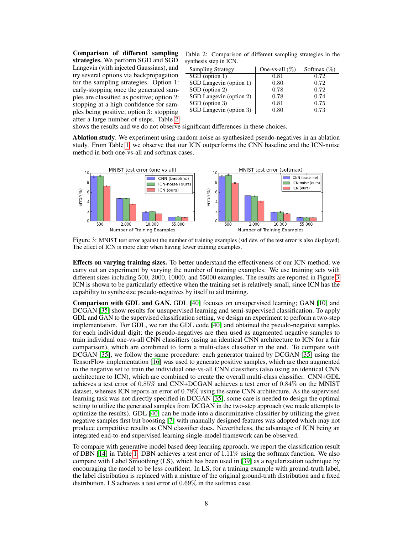Comparison of different sampling strategies. We perform SGD and SGD Langevin (with injected Gaussians), and try several options via backpropagation for the sampling strategies. Option 1: early-stopping once the generated samples are classified as positive; option 2: stopping at a high confidence for samples being positive; option 3: stopping after a large number of steps. Table 2

| Table 2: Comparison of different sampling strategies in the |  |  |  |
|-------------------------------------------------------------|--|--|--|
| synthesis step in ICN.                                      |  |  |  |

| <b>Sampling Strategy</b> | One-vs-all $(\%)$ | Softmax $(\%)$ |
|--------------------------|-------------------|----------------|
| SGD (option 1)           | 0.81              | 0.72           |
| SGD Langevin (option 1)  | 0.80              | 0.72           |
| SGD (option 2)           | 0.78              | 0.72           |
| SGD Langevin (option 2)  | 0.78              | 0.74           |
| SGD (option 3)           | 0.81              | 0.75           |
| SGD Langevin (option 3)  | 0.80              | 0.73           |

shows the results and we do not observe significant differences in these choices.

Ablation study. We experiment using random noise as synthesized pseudo-negatives in an ablation study. From Table 1, we observe that our ICN outperforms the CNN baseline and the ICN-noise method in both one-vs-all and softmax cases.



Figure 3: MNIST test error against the number of training examples (std dev. of the test error is also displayed). The effect of ICN is more clear when having fewer training examples.

Effects on varying training sizes. To better understand the effectiveness of our ICN method, we carry out an experiment by varying the number of training examples. We use training sets with different sizes including 500, 2000, 10000, and 55000 examples. The results are reported in Figure 3. ICN is shown to be particularly effective when the training set is relatively small, since ICN has the capability to synthesize pseudo-negatives by itself to aid training.

Comparison with GDL and GAN. GDL [40] focuses on unsupervised learning; GAN [10] and DCGAN [35] show results for unsupervised learning and semi-supervised classification. To apply GDL and GAN to the supervised classification setting, we design an experiment to perform a two-step implementation. For GDL, we ran the GDL code [40] and obtained the pseudo-negative samples for each individual digit; the pseudo-negatives are then used as augmented negative samples to train individual one-vs-all CNN classifiers (using an identical CNN architecture to ICN for a fair comparison), which are combined to form a multi-class classifier in the end. To compare with DCGAN [35], we follow the same procedure: each generator trained by DCGAN [35] using the TensorFlow implementation [16] was used to generate positive samples, which are then augmented to the negative set to train the individual one-vs-all CNN classifiers (also using an identical CNN architecture to ICN), which are combined to create the overall multi-class classifier. CNN+GDL achieves a test error of 0.85% and CNN+DCGAN achieves a test error of 0.84% on the MNIST dataset, whereas ICN reports an error of 0.78% using the same CNN architecture. As the supervised learning task was not directly specified in DCGAN [35], some care is needed to design the optimal setting to utilize the generated samples from DCGAN in the two-step approach (we made attempts to optimize the results). GDL [40] can be made into a discriminative classifier by utilizing the given negative samples first but boosting [7] with manually designed features was adopted which may not produce competitive results as CNN classifier does. Nevertheless, the advantage of ICN being an integrated end-to-end supervised learning single-model framework can be observed.

To compare with generative model based deep learning approach, we report the classification result of DBN  $[14]$  in Table 1. DBN achieves a test error of  $1.11\%$  using the softmax function. We also compare with Label Smoothing (LS), which has been used in [39] as a regularization technique by encouraging the model to be less confident. In LS, for a training example with ground-truth label, the label distribution is replaced with a mixture of the original ground-truth distribution and a fixed distribution. LS achieves a test error of 0.69% in the softmax case.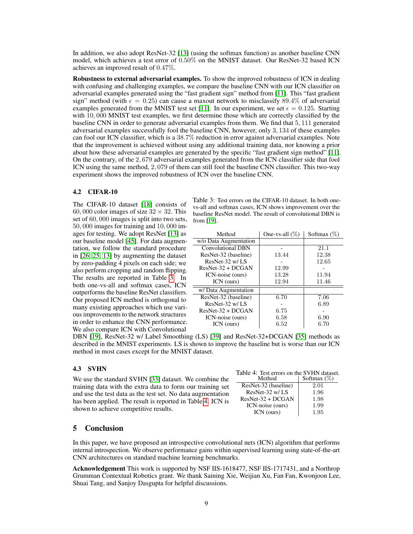In addition, we also adopt ResNet-32 [13] (using the softmax function) as another baseline CNN model, which achieves a test error of 0.50% on the MNIST dataset. Our ResNet-32 based ICN achieves an improved result of 0.47%.

Robustness to external adversarial examples. To show the improved robustness of ICN in dealing with confusing and challenging examples, we compare the baseline CNN with our ICN classifier on adversarial examples generated using the "fast gradient sign" method from [11]. This "fast gradient sign" method (with  $\epsilon = 0.25$ ) can cause a maxout network to misclassify 89.4% of adversarial examples generated from the MNIST test set [11]. In our experiment, we set  $\epsilon = 0.125$ . Starting with 10,000 MNIST test examples, we first determine those which are correctly classified by the baseline CNN in order to generate adversarial examples from them. We find that 5, 111 generated adversarial examples successfully fool the baseline CNN, however, only 3, 134 of these examples can fool our ICN classifier, which is a 38.7% reduction in error against adversarial examples. Note that the improvement is achieved without using any additional training data, nor knowing a prior about how these adversarial examples are generated by the specific "fast gradient sign method" [11]. On the contrary, of the 2, 679 adversarial examples generated from the ICN classifier side that fool ICN using the same method, 2, 079 of them can still fool the baseline CNN classifier. This two-way experiment shows the improved robustness of ICN over the baseline CNN.

#### 4.2 CIFAR-10

The CIFAR-10 dataset [18] consists of 60, 000 color images of size  $32 \times 32$ . This set of 60, 000 images is split into two sets, 50, 000 images for training and 10, 000 images for testing. We adopt ResNet [13] as our baseline model [45]. For data augmentation, we follow the standard procedure in [26, 25, 13] by augmenting the dataset by zero-padding 4 pixels on each side; we also perform cropping and random flipping. The results are reported in Table 3. In both one-vs-all and softmax cases, ICN outperforms the baseline ResNet classifiers. Our proposed ICN method is orthogonal to many existing approaches which use various improvements to the network structures in order to enhance the CNN performance. We also compare ICN with Convolutional

Table 3: Test errors on the CIFAR-10 dataset. In both onevs-all and softmax cases, ICN shows improvement over the baseline ResNet model. The result of convolutional DBN is from [19].

| Method                | One-vs-all $(\%)$ | Softmax $(\%)$ |
|-----------------------|-------------------|----------------|
| w/o Data Augmentation |                   |                |
| Convolutional DBN     |                   | 21.1           |
| ResNet-32 (baseline)  | 13.44             | 12.38          |
| ResNet-32 w/LS        |                   | 12.65          |
| $ResNet-32 + DCGAN$   | 12.99             |                |
| ICN-noise (ours)      | 13.28             | 11.94          |
| ICN (ours)            | 12.94             | 11.46          |
| w/ Data Augmentation  |                   |                |
| ResNet-32 (baseline)  | 6.70              | 7.06           |
| ResNet-32 w/LS        |                   | 6.89           |
| $ResNet-32 + DCGAN$   | 6.75              |                |
| ICN-noise (ours)      | 6.58              | 6.90           |
| ICN (ours)            | 6.52              | 6.70           |

DBN [19], ResNet-32 w/ Label Smoothing (LS) [39] and ResNet-32+DCGAN [35] methods as described in the MNIST experiments. LS is shown to improve the baseline but is worse than our ICN method in most cases except for the MNIST dataset.

We use the standard SVHN [33] dataset. We combine the training data with the extra data to form our training set and use the test data as the test set. No data augmentation has been applied. The result is reported in Table 4. ICN is shown to achieve competitive results.

| 4.3 SVHN |  | Table 4: Test errors on the SVHN dataset. |
|----------|--|-------------------------------------------|
|          |  |                                           |

| Method               | Softmax $(\%)$ |
|----------------------|----------------|
| ResNet-32 (baseline) | 2.01           |
| ResNet-32 w/LS       | 1.96           |
| $ResNet-32 + DCGAN$  | 1.98           |
| ICN-noise (ours)     | 1.99           |
| ICN (ours)           | 1.95           |

# 5 Conclusion

In this paper, we have proposed an introspective convolutional nets (ICN) algorithm that performs internal introspection. We observe performance gains within supervised learning using state-of-the-art CNN architectures on standard machine learning benchmarks.

Acknowledgement This work is supported by NSF IIS-1618477, NSF IIS-1717431, and a Northrop Grumman Contextual Robotics grant. We thank Saining Xie, Weijian Xu, Fan Fan, Kwonjoon Lee, Shuai Tang, and Sanjoy Dasgupta for helpful discussions.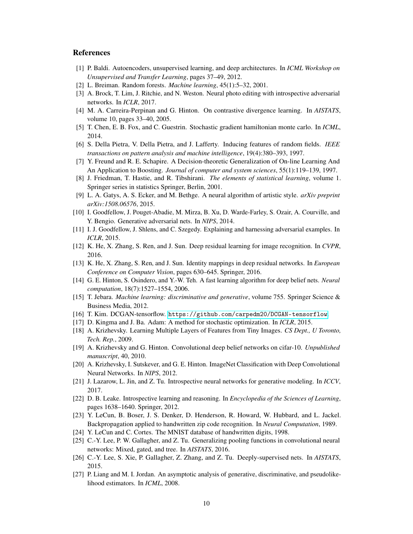# **References**

- [1] P. Baldi. Autoencoders, unsupervised learning, and deep architectures. In *ICML Workshop on Unsupervised and Transfer Learning*, pages 37–49, 2012.
- [2] L. Breiman. Random forests. *Machine learning*, 45(1):5–32, 2001.
- [3] A. Brock, T. Lim, J. Ritchie, and N. Weston. Neural photo editing with introspective adversarial networks. In *ICLR*, 2017.
- [4] M. A. Carreira-Perpinan and G. Hinton. On contrastive divergence learning. In *AISTATS*, volume 10, pages 33–40, 2005.
- [5] T. Chen, E. B. Fox, and C. Guestrin. Stochastic gradient hamiltonian monte carlo. In *ICML*, 2014.
- [6] S. Della Pietra, V. Della Pietra, and J. Lafferty. Inducing features of random fields. *IEEE transactions on pattern analysis and machine intelligence*, 19(4):380–393, 1997.
- [7] Y. Freund and R. E. Schapire. A Decision-theoretic Generalization of On-line Learning And An Application to Boosting. *Journal of computer and system sciences*, 55(1):119–139, 1997.
- [8] J. Friedman, T. Hastie, and R. Tibshirani. *The elements of statistical learning*, volume 1. Springer series in statistics Springer, Berlin, 2001.
- [9] L. A. Gatys, A. S. Ecker, and M. Bethge. A neural algorithm of artistic style. *arXiv preprint arXiv:1508.06576*, 2015.
- [10] I. Goodfellow, J. Pouget-Abadie, M. Mirza, B. Xu, D. Warde-Farley, S. Ozair, A. Courville, and Y. Bengio. Generative adversarial nets. In *NIPS*, 2014.
- [11] I. J. Goodfellow, J. Shlens, and C. Szegedy. Explaining and harnessing adversarial examples. In *ICLR*, 2015.
- [12] K. He, X. Zhang, S. Ren, and J. Sun. Deep residual learning for image recognition. In *CVPR*, 2016.
- [13] K. He, X. Zhang, S. Ren, and J. Sun. Identity mappings in deep residual networks. In *European Conference on Computer Vision*, pages 630–645. Springer, 2016.
- [14] G. E. Hinton, S. Osindero, and Y.-W. Teh. A fast learning algorithm for deep belief nets. *Neural computation*, 18(7):1527–1554, 2006.
- [15] T. Jebara. *Machine learning: discriminative and generative*, volume 755. Springer Science & Business Media, 2012.
- [16] T. Kim. DCGAN-tensorflow. <https://github.com/carpedm20/DCGAN-tensorflow>.
- [17] D. Kingma and J. Ba. Adam: A method for stochastic optimization. In *ICLR*, 2015.
- [18] A. Krizhevsky. Learning Multiple Layers of Features from Tiny Images. *CS Dept., U Toronto, Tech. Rep.*, 2009.
- [19] A. Krizhevsky and G. Hinton. Convolutional deep belief networks on cifar-10. *Unpublished manuscript*, 40, 2010.
- [20] A. Krizhevsky, I. Sutskever, and G. E. Hinton. ImageNet Classification with Deep Convolutional Neural Networks. In *NIPS*, 2012.
- [21] J. Lazarow, L. Jin, and Z. Tu. Introspective neural networks for generative modeling. In *ICCV*, 2017.
- [22] D. B. Leake. Introspective learning and reasoning. In *Encyclopedia of the Sciences of Learning*, pages 1638–1640. Springer, 2012.
- [23] Y. LeCun, B. Boser, J. S. Denker, D. Henderson, R. Howard, W. Hubbard, and L. Jackel. Backpropagation applied to handwritten zip code recognition. In *Neural Computation*, 1989.
- [24] Y. LeCun and C. Cortes. The MNIST database of handwritten digits, 1998.
- [25] C.-Y. Lee, P. W. Gallagher, and Z. Tu. Generalizing pooling functions in convolutional neural networks: Mixed, gated, and tree. In *AISTATS*, 2016.
- [26] C.-Y. Lee, S. Xie, P. Gallagher, Z. Zhang, and Z. Tu. Deeply-supervised nets. In *AISTATS*, 2015.
- [27] P. Liang and M. I. Jordan. An asymptotic analysis of generative, discriminative, and pseudolikelihood estimators. In *ICML*, 2008.